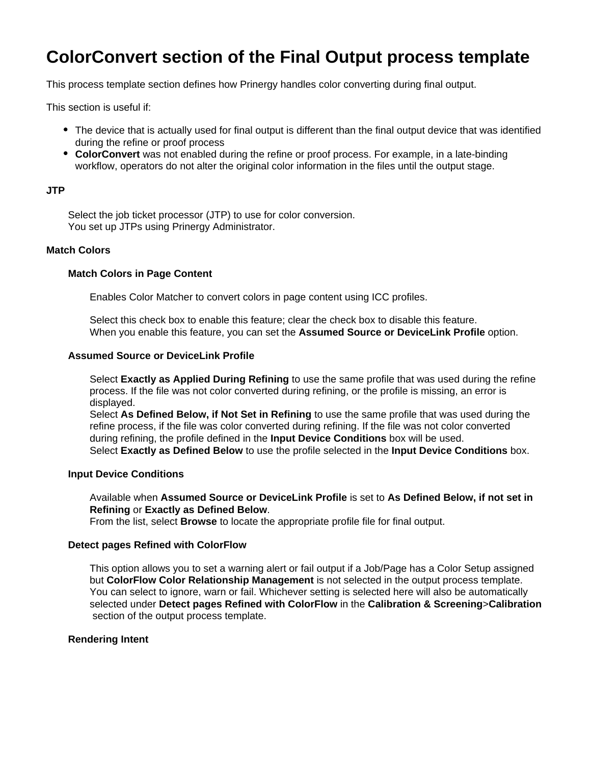# **ColorConvert section of the Final Output process template**

This process template section defines how Prinergy handles color converting during final output.

This section is useful if:

- The device that is actually used for final output is different than the final output device that was identified during the refine or proof process
- **ColorConvert** was not enabled during the refine or proof process. For example, in a late-binding workflow, operators do not alter the original color information in the files until the output stage.

## **JTP**

Select the job ticket processor (JTP) to use for color conversion. You set up JTPs using Prinergy Administrator.

## **Match Colors**

## **Match Colors in Page Content**

Enables Color Matcher to convert colors in page content using ICC profiles.

Select this check box to enable this feature; clear the check box to disable this feature. When you enable this feature, you can set the **Assumed Source or DeviceLink Profile** option.

## **Assumed Source or DeviceLink Profile**

Select **Exactly as Applied During Refining** to use the same profile that was used during the refine process. If the file was not color converted during refining, or the profile is missing, an error is displayed.

Select **As Defined Below, if Not Set in Refining** to use the same profile that was used during the refine process, if the file was color converted during refining. If the file was not color converted during refining, the profile defined in the **Input Device Conditions** box will be used. Select **Exactly as Defined Below** to use the profile selected in the **Input Device Conditions** box.

#### **Input Device Conditions**

Available when **Assumed Source or DeviceLink Profile** is set to **As Defined Below, if not set in Refining** or **Exactly as Defined Below**.

From the list, select **Browse** to locate the appropriate profile file for final output.

#### **Detect pages Refined with ColorFlow**

This option allows you to set a warning alert or fail output if a Job/Page has a Color Setup assigned but **ColorFlow Color Relationship Management** is not selected in the output process template. You can select to ignore, warn or fail. Whichever setting is selected here will also be automatically selected under **Detect pages Refined with ColorFlow** in the **Calibration & Screening**>**Calibration** section of the output process template.

#### **Rendering Intent**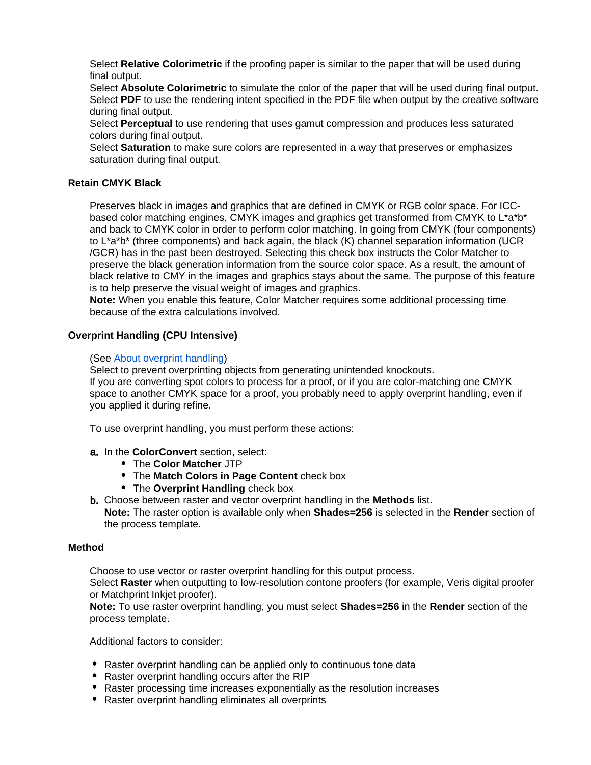Select **Relative Colorimetric** if the proofing paper is similar to the paper that will be used during final output.

Select **Absolute Colorimetric** to simulate the color of the paper that will be used during final output. Select **PDF** to use the rendering intent specified in the PDF file when output by the creative software during final output.

Select **Perceptual** to use rendering that uses gamut compression and produces less saturated colors during final output.

Select **Saturation** to make sure colors are represented in a way that preserves or emphasizes saturation during final output.

# **Retain CMYK Black**

Preserves black in images and graphics that are defined in CMYK or RGB color space. For ICCbased color matching engines, CMYK images and graphics get transformed from CMYK to L\*a\*b\* and back to CMYK color in order to perform color matching. In going from CMYK (four components) to L\*a\*b\* (three components) and back again, the black (K) channel separation information (UCR /GCR) has in the past been destroyed. Selecting this check box instructs the Color Matcher to preserve the black generation information from the source color space. As a result, the amount of black relative to CMY in the images and graphics stays about the same. The purpose of this feature is to help preserve the visual weight of images and graphics.

**Note:** When you enable this feature, Color Matcher requires some additional processing time because of the extra calculations involved.

## **Overprint Handling (CPU Intensive)**

## (See [About overprint handling\)](https://workflowhelp.kodak.com/display/PRIN/About+overprint+handling)

Select to prevent overprinting objects from generating unintended knockouts. If you are converting spot colors to process for a proof, or if you are color-matching one CMYK space to another CMYK space for a proof, you probably need to apply overprint handling, even if you applied it during refine.

To use overprint handling, you must perform these actions:

- a. In the **ColorConvert** section, select:
	- The **Color Matcher** JTP
	- The **Match Colors in Page Content** check box
	- The **Overprint Handling** check box

b. Choose between raster and vector overprint handling in the **Methods** list. **Note:** The raster option is available only when **Shades=256** is selected in the **Render** section of the process template.

#### **Method**

Choose to use vector or raster overprint handling for this output process.

Select **Raster** when outputting to low-resolution contone proofers (for example, Veris digital proofer or Matchprint Inkjet proofer).

**Note:** To use raster overprint handling, you must select **Shades=256** in the **Render** section of the process template.

Additional factors to consider:

- Raster overprint handling can be applied only to continuous tone data
- Raster overprint handling occurs after the RIP
- Raster processing time increases exponentially as the resolution increases
- Raster overprint handling eliminates all overprints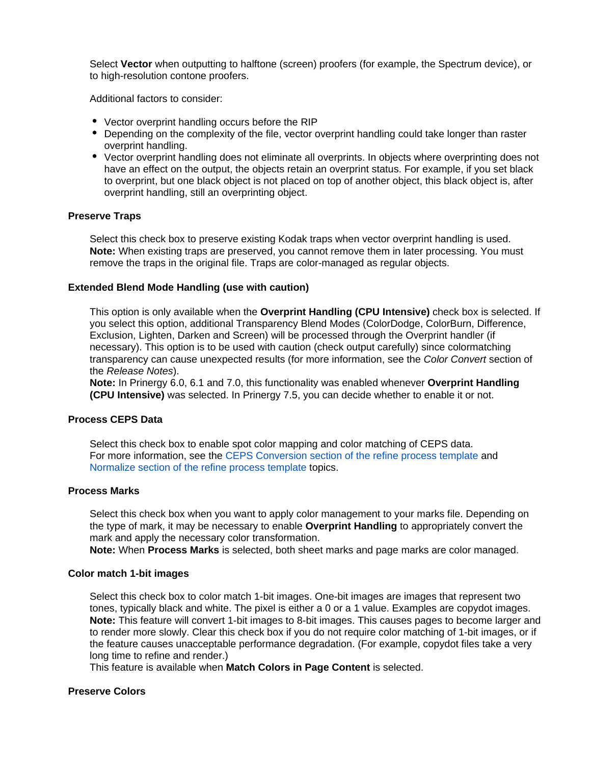Select **Vector** when outputting to halftone (screen) proofers (for example, the Spectrum device), or to high-resolution contone proofers.

Additional factors to consider:

- Vector overprint handling occurs before the RIP
- Depending on the complexity of the file, vector overprint handling could take longer than raster overprint handling.
- Vector overprint handling does not eliminate all overprints. In objects where overprinting does not have an effect on the output, the objects retain an overprint status. For example, if you set black to overprint, but one black object is not placed on top of another object, this black object is, after overprint handling, still an overprinting object.

#### **Preserve Traps**

Select this check box to preserve existing Kodak traps when vector overprint handling is used. **Note:** When existing traps are preserved, you cannot remove them in later processing. You must remove the traps in the original file. Traps are color-managed as regular objects.

#### **Extended Blend Mode Handling (use with caution)**

This option is only available when the **Overprint Handling (CPU Intensive)** check box is selected. If you select this option, additional Transparency Blend Modes (ColorDodge, ColorBurn, Difference, Exclusion, Lighten, Darken and Screen) will be processed through the Overprint handler (if necessary). This option is to be used with caution (check output carefully) since colormatching transparency can cause unexpected results (for more information, see the Color Convert section of the Release Notes).

**Note:** In Prinergy 6.0, 6.1 and 7.0, this functionality was enabled whenever **Overprint Handling (CPU Intensive)** was selected. In Prinergy 7.5, you can decide whether to enable it or not.

#### **Process CEPS Data**

Select this check box to enable spot color mapping and color matching of CEPS data. For more information, see the [CEPS Conversion section of the refine process template](https://workflowhelp.kodak.com/display/PRIN/CEPS+Conversion+section+of+the+Refine+process+template) and [Normalize section of the refine process template](https://workflowhelp.kodak.com/display/PRIN/Normalize+section+of+the+Refine+process+template) topics.

#### **Process Marks**

Select this check box when you want to apply color management to your marks file. Depending on the type of mark, it may be necessary to enable **Overprint Handling** to appropriately convert the mark and apply the necessary color transformation.

**Note:** When **Process Marks** is selected, both sheet marks and page marks are color managed.

#### **Color match 1-bit images**

Select this check box to color match 1-bit images. One-bit images are images that represent two tones, typically black and white. The pixel is either a 0 or a 1 value. Examples are copydot images. **Note:** This feature will convert 1-bit images to 8-bit images. This causes pages to become larger and to render more slowly. Clear this check box if you do not require color matching of 1-bit images, or if the feature causes unacceptable performance degradation. (For example, copydot files take a very long time to refine and render.)

This feature is available when **Match Colors in Page Content** is selected.

#### **Preserve Colors**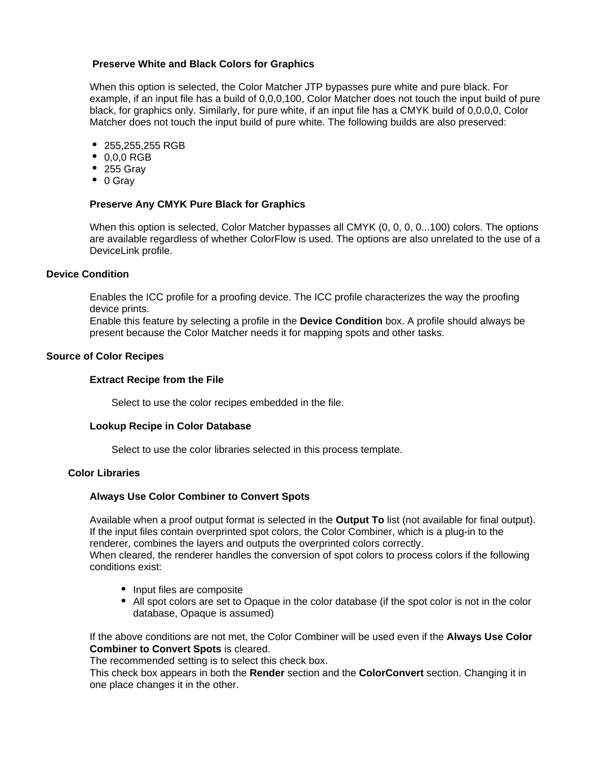## **Preserve White and Black Colors for Graphics**

When this option is selected, the Color Matcher JTP bypasses pure white and pure black. For example, if an input file has a build of 0,0,0,100, Color Matcher does not touch the input build of pure black, for graphics only. Similarly, for pure white, if an input file has a CMYK build of 0,0,0,0, Color Matcher does not touch the input build of pure white. The following builds are also preserved:

- 255,255,255 RGB
- 0,0,0 RGB
- 255 Gray
- $\bullet$  0 Gray

## **Preserve Any CMYK Pure Black for Graphics**

When this option is selected, Color Matcher bypasses all CMYK (0, 0, 0, 0...100) colors. The options are available regardless of whether ColorFlow is used. The options are also unrelated to the use of a DeviceLink profile.

## **Device Condition**

Enables the ICC profile for a proofing device. The ICC profile characterizes the way the proofing device prints.

Enable this feature by selecting a profile in the **Device Condition** box. A profile should always be present because the Color Matcher needs it for mapping spots and other tasks.

## **Source of Color Recipes**

## **Extract Recipe from the File**

Select to use the color recipes embedded in the file.

## **Lookup Recipe in Color Database**

Select to use the color libraries selected in this process template.

## **Color Libraries**

## **Always Use Color Combiner to Convert Spots**

Available when a proof output format is selected in the **Output To** list (not available for final output). If the input files contain overprinted spot colors, the Color Combiner, which is a plug-in to the renderer, combines the layers and outputs the overprinted colors correctly. When cleared, the renderer handles the conversion of spot colors to process colors if the following conditions exist:

- Input files are composite
- All spot colors are set to Opaque in the color database (if the spot color is not in the color database, Opaque is assumed)

If the above conditions are not met, the Color Combiner will be used even if the **Always Use Color Combiner to Convert Spots** is cleared.

The recommended setting is to select this check box.

This check box appears in both the **Render** section and the **ColorConvert** section. Changing it in one place changes it in the other.